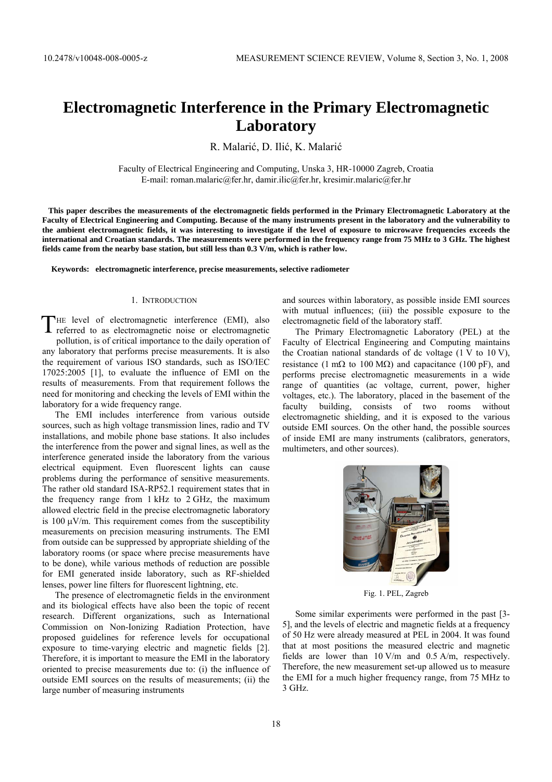# **Electromagnetic Interference in the Primary Electromagnetic Laboratory**

R. Malarić, D. Ilić, K. Malarić

Faculty of Electrical Engineering and Computing, Unska 3, HR-10000 Zagreb, Croatia E-mail: roman.malaric@fer.hr, damir.ilic@fer.hr, kresimir.malaric@fer.hr

 **This paper describes the measurements of the electromagnetic fields performed in the Primary Electromagnetic Laboratory at the Faculty of Electrical Engineering and Computing. Because of the many instruments present in the laboratory and the vulnerability to the ambient electromagnetic fields, it was interesting to investigate if the level of exposure to microwave frequencies exceeds the international and Croatian standards. The measurements were performed in the frequency range from 75 MHz to 3 GHz. The highest fields came from the nearby base station, but still less than 0.3 V/m, which is rather low.** 

**Keywords: electromagnetic interference, precise measurements, selective radiometer** 

## 1. INTRODUCTION

HE level of electromagnetic interference (EMI), also THE level of electromagnetic interference (EMI), also referred to as electromagnetic noise or electromagnetic pollution, is of critical importance to the daily operation of any laboratory that performs precise measurements. It is also the requirement of various ISO standards, such as ISO/IEC 17025:2005 [1], to evaluate the influence of EMI on the results of measurements. From that requirement follows the need for monitoring and checking the levels of EMI within the laboratory for a wide frequency range.

The EMI includes interference from various outside sources, such as high voltage transmission lines, radio and TV installations, and mobile phone base stations. It also includes the interference from the power and signal lines, as well as the interference generated inside the laboratory from the various electrical equipment. Even fluorescent lights can cause problems during the performance of sensitive measurements. The rather old standard ISA-RP52.1 requirement states that in the frequency range from 1 kHz to 2 GHz, the maximum allowed electric field in the precise electromagnetic laboratory is 100  $\mu$ V/m. This requirement comes from the susceptibility measurements on precision measuring instruments. The EMI from outside can be suppressed by appropriate shielding of the laboratory rooms (or space where precise measurements have to be done), while various methods of reduction are possible for EMI generated inside laboratory, such as RF-shielded lenses, power line filters for fluorescent lightning, etc.

The presence of electromagnetic fields in the environment and its biological effects have also been the topic of recent research. Different organizations, such as International Commission on Non-Ionizing Radiation Protection, have proposed guidelines for reference levels for occupational exposure to time-varying electric and magnetic fields [2]. Therefore, it is important to measure the EMI in the laboratory oriented to precise measurements due to: (i) the influence of outside EMI sources on the results of measurements; (ii) the large number of measuring instruments

and sources within laboratory, as possible inside EMI sources with mutual influences; (iii) the possible exposure to the electromagnetic field of the laboratory staff.

The Primary Electromagnetic Laboratory (PEL) at the Faculty of Electrical Engineering and Computing maintains the Croatian national standards of dc voltage  $(1 \nabla \text{ to } 10 \nabla)$ , resistance (1 m $\Omega$  to 100 M $\Omega$ ) and capacitance (100 pF), and performs precise electromagnetic measurements in a wide range of quantities (ac voltage, current, power, higher voltages, etc.). The laboratory, placed in the basement of the faculty building, consists of two rooms without electromagnetic shielding, and it is exposed to the various outside EMI sources. On the other hand, the possible sources of inside EMI are many instruments (calibrators, generators, multimeters, and other sources).



Fig. 1. PEL, Zagreb

Some similar experiments were performed in the past [3- 5], and the levels of electric and magnetic fields at a frequency of 50 Hz were already measured at PEL in 2004. It was found that at most positions the measured electric and magnetic fields are lower than 10 V/m and 0.5 A/m, respectively. Therefore, the new measurement set-up allowed us to measure the EMI for a much higher frequency range, from 75 MHz to 3 GHz.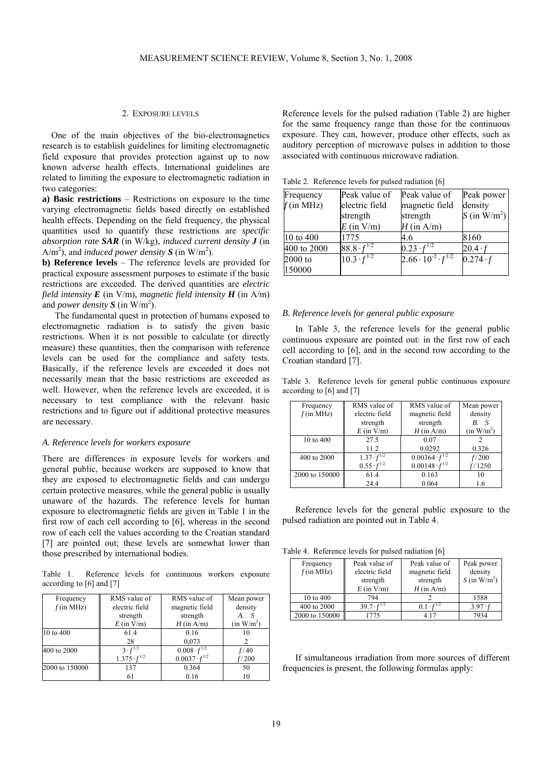#### 2. EXPOSURE LEVELS

One of the main objectives of the bio-electromagnetics research is to establish guidelines for limiting electromagnetic field exposure that provides protection against up to now known adverse health effects. International guidelines are related to limiting the exposure to electromagnetic radiation in two categories:

**a) Basic restrictions** – Restrictions on exposure to the time varying electromagnetic fields based directly on established health effects. Depending on the field frequency, the physical quantities used to quantify these restrictions are *specific absorption rate SAR* (in W/kg), *induced current density J* (in  $A/m<sup>2</sup>$ , and *induced power density* **S** (in W/m<sup>2</sup>).

**b) Reference levels** – The reference levels are provided for practical exposure assessment purposes to estimate if the basic restrictions are exceeded*.* The derived quantities are *electric field intensity E (in V/m), <i>magnetic field intensity H (in A/m)* and *power density*  $S$  (in W/m<sup>2</sup>).

The fundamental quest in protection of humans exposed to electromagnetic radiation is to satisfy the given basic restrictions. When it is not possible to calculate (or directly measure) these quantities, then the comparison with reference levels can be used for the compliance and safety tests. Basically, if the reference levels are exceeded it does not necessarily mean that the basic restrictions are exceeded as well. However, when the reference levels are exceeded, it is necessary to test compliance with the relevant basic restrictions and to figure out if additional protective measures are necessary.

### *A. Reference levels for workers exposure*

There are differences in exposure levels for workers and general public, because workers are supposed to know that they are exposed to electromagnetic fields and can undergo certain protective measures, while the general public is usually unaware of the hazards. The reference levels for human exposure to electromagnetic fields are given in Table 1 in the first row of each cell according to [6], whereas in the second row of each cell the values according to the Croatian standard [7] are pointed out; these levels are somewhat lower than those prescribed by international bodies.

Table 1. Reference levels for continuous workers exposure according to [6] and [7]

| Frequency      | RMS value of          | RMS value of           | Mean power             |
|----------------|-----------------------|------------------------|------------------------|
| $f$ (in MHz)   | electric field        | magnetic field         | density                |
|                | strength              | strength               |                        |
|                | $E$ (in $V/m$ )       | $H$ (in A/m)           | (in W/m <sup>2</sup> ) |
| 10 to 400      | 61.4                  | 0.16                   | 10                     |
|                | 28                    | 0,073                  |                        |
| 400 to 2000    | $3 \cdot f^{1/2}$     | $0.008 \cdot f^{1/2}$  | f/40                   |
|                | $1.375 \cdot f^{1/2}$ | $0.0037 \cdot f^{1/2}$ | f/200                  |
| 2000 to 150000 | 137                   | 0.364                  | 50                     |
|                | 61                    | 0.16                   | 10                     |

Reference levels for the pulsed radiation (Table 2) are higher for the same frequency range than those for the continuous exposure. They can, however, produce other effects, such as auditory perception of microwave pulses in addition to those associated with continuous microwave radiation.

Table 2. Reference levels for pulsed radiation [6]

| Frequency   | Peak value of        | Peak value of                      | Peak power      |
|-------------|----------------------|------------------------------------|-----------------|
| f(in MHz)   | electric field       | magnetic field                     | density         |
|             | strength             | strength                           | S (in $W/m^2$ ) |
|             | $E$ (in $V/m$ )      | $H$ (in A/m)                       |                 |
| 10 to 400   | 1775                 | 4.6                                | 8160            |
| 400 to 2000 | 88.8 $\cdot f^{1/2}$ | $0.23 \cdot f^{1/2}$               | $20.4 \cdot f$  |
| $2000$ to   | $10.3 \cdot f^{1/2}$ | $2.66 \cdot 10^{-2} \cdot f^{1/2}$ | $0.274 \cdot f$ |
| 150000      |                      |                                    |                 |

## *B. Reference levels for general public exposure*

In Table 3, the reference levels for the general public continuous exposure are pointed out: in the first row of each cell according to [6], and in the second row according to the Croatian standard [7].

Table 3. Reference levels for general public continuous exposure according to [6] and [7]

| Frequency      | RMS value of         | RMS value of            | Mean power             |
|----------------|----------------------|-------------------------|------------------------|
| $f$ (in MHz)   | electric field       | magnetic field          | density                |
|                | strength             | strength                | В.                     |
|                | $E$ (in $V/m$ )      | $H$ (in A/m)            | (in W/m <sup>2</sup> ) |
| 10 to 400      | 27.5                 | 0.07                    |                        |
|                | 11.2                 | 0.0292                  | 0.326                  |
| 400 to 2000    | $1.37 \cdot f^{1/2}$ | $0.00364 \cdot f^{1/2}$ | f/200                  |
|                | $0.55 \cdot f^{1/2}$ | $0.00148 \cdot f^{1/2}$ | f/1250                 |
| 2000 to 150000 | 61.4                 | 0.163                   | 10                     |
|                | 24.4                 | 0.064                   | 1.6                    |

Reference levels for the general public exposure to the pulsed radiation are pointed out in Table 4.

Table 4. Reference levels for pulsed radiation [6]

| Frequency      | Peak value of        | Peak value of  | Peak power      |
|----------------|----------------------|----------------|-----------------|
| f(in MHz)      | electric field       | magnetic field | density         |
|                | strength             | strength       | S (in $W/m^2$ ) |
|                | $E$ (in $V/m$ )      | $H$ (in A/m)   |                 |
| 10 to 400      | 794                  |                | 1588            |
| 400 to 2000    | $39.7 \cdot f^{1/2}$ | $0.1 \cdot$    | $3.97 \tcdot f$ |
| 2000 to 150000 | 1775                 | 4.17           | 7934            |

If simultaneous irradiation from more sources of different frequencies is present, the following formulas apply: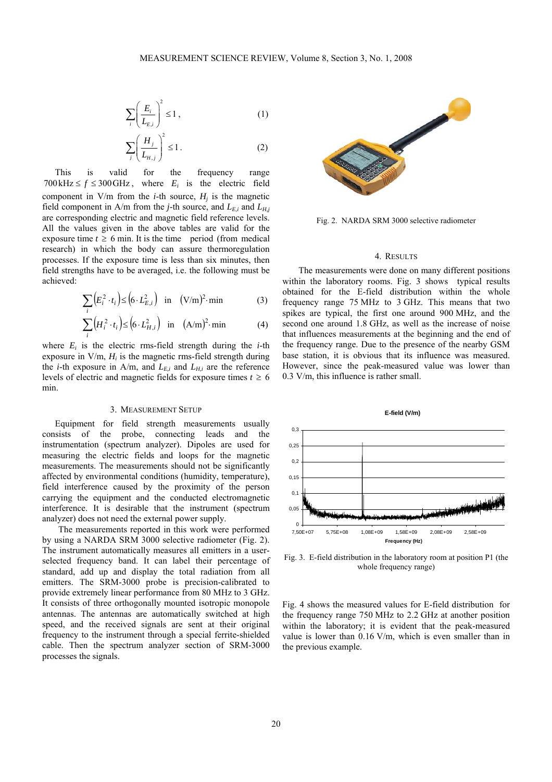$$
\sum_{i} \left( \frac{E_i}{L_{E,i}} \right)^2 \le 1, \tag{1}
$$

$$
\sum_{j} \left( \frac{H_j}{L_{H,j}} \right)^2 \le 1.
$$
 (2)

This is valid for the frequency range 700 kHz  $\le f \le 300$  GHz, where  $E_i$  is the electric field component in  $V/m$  from the *i*-th source,  $H_i$  is the magnetic field component in A/m from the *j*-th source, and  $L_{E,i}$  and  $L_{H,j}$ are corresponding electric and magnetic field reference levels. All the values given in the above tables are valid for the exposure time  $t \ge 6$  min. It is the time period (from medical research) in which the body can assure thermoregulation processes. If the exposure time is less than six minutes, then field strengths have to be averaged, i.e. the following must be achieved:

$$
\sum_{i} \left( E_i^2 \cdot t_i \right) \le \left( 6 \cdot L_{E,i}^2 \right) \quad \text{in} \quad (\text{V/m})^2 \cdot \text{min} \tag{3}
$$

$$
\sum_{i} \left( H_i^2 \cdot t_i \right) \le \left( 6 \cdot L_{H,i}^2 \right) \quad \text{in} \quad (\text{A/m})^2 \cdot \text{min} \tag{4}
$$

where  $E_i$  is the electric rms-field strength during the  $i$ -th exposure in  $V/m$ ,  $H_i$  is the magnetic rms-field strength during the *i*-th exposure in A/m, and  $L_{E,i}$  and  $L_{H,i}$  are the reference levels of electric and magnetic fields for exposure times  $t \geq 6$ min.

## 3. MEASUREMENT SETUP

Equipment for field strength measurements usually consists of the probe, connecting leads and the instrumentation (spectrum analyzer). Dipoles are used for measuring the electric fields and loops for the magnetic measurements. The measurements should not be significantly affected by environmental conditions (humidity, temperature), field interference caused by the proximity of the person carrying the equipment and the conducted electromagnetic interference. It is desirable that the instrument (spectrum analyzer) does not need the external power supply.

The measurements reported in this work were performed by using a NARDA SRM 3000 selective radiometer (Fig. 2). The instrument automatically measures all emitters in a userselected frequency band. It can label their percentage of standard, add up and display the total radiation from all emitters. The SRM-3000 probe is precision-calibrated to provide extremely linear performance from 80 MHz to 3 GHz. It consists of three orthogonally mounted isotropic monopole antennas. The antennas are automatically switched at high speed, and the received signals are sent at their original frequency to the instrument through a special ferrite-shielded cable. Then the spectrum analyzer section of SRM-3000 processes the signals.



Fig. 2. NARDA SRM 3000 selective radiometer

#### 4. RESULTS

The measurements were done on many different positions within the laboratory rooms. Fig. 3 shows typical results obtained for the E-field distribution within the whole frequency range 75 MHz to 3 GHz. This means that two spikes are typical, the first one around 900 MHz, and the second one around 1.8 GHz, as well as the increase of noise that influences measurements at the beginning and the end of the frequency range. Due to the presence of the nearby GSM base station, it is obvious that its influence was measured. However, since the peak-measured value was lower than 0.3 V/m, this influence is rather small.



Fig. 3. E-field distribution in the laboratory room at position P1 (the whole frequency range)

Fig. 4 shows the measured values for E-field distribution for the frequency range 750 MHz to 2.2 GHz at another position within the laboratory; it is evident that the peak-measured value is lower than 0.16 V/m, which is even smaller than in the previous example.